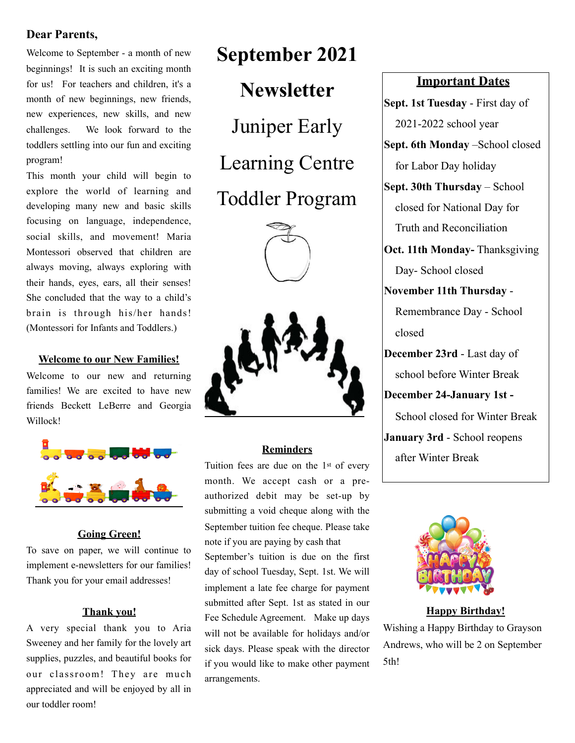# **Dear Parents,**

Welcome to September - a month of new beginnings! It is such an exciting month for us! For teachers and children, it's a month of new beginnings, new friends, new experiences, new skills, and new challenges. We look forward to the toddlers settling into our fun and exciting program!

This month your child will begin to explore the world of learning and developing many new and basic skills focusing on language, independence, social skills, and movement! Maria Montessori observed that children are always moving, always exploring with their hands, eyes, ears, all their senses! She concluded that the way to a child's brain is through his/her hands! (Montessori for Infants and Toddlers.)

#### **Welcome to our New Families!**

Welcome to our new and returning families! We are excited to have new friends Beckett LeBerre and Georgia Willock!



#### **Going Green!**

To save on paper, we will continue to implement e-newsletters for our families! Thank you for your email addresses!

#### **Thank you!**

A very special thank you to Aria Sweeney and her family for the lovely art supplies, puzzles, and beautiful books for our classroom! They are much appreciated and will be enjoyed by all in our toddler room!

# **September 2021 Newsletter**  Juniper Early

Learning Centre

# Toddler Program





### **Reminders**

Tuition fees are due on the 1st of every month. We accept cash or a preauthorized debit may be set-up by submitting a void cheque along with the September tuition fee cheque. Please take note if you are paying by cash that September's tuition is due on the first day of school Tuesday, Sept. 1st. We will

implement a late fee charge for payment submitted after Sept. 1st as stated in our Fee Schedule Agreement. Make up days will not be available for holidays and/or sick days. Please speak with the director if you would like to make other payment arrangements.

# **Important Dates**

**Sept. 1st Tuesday** - First day of 2021-2022 school year

**Sept. 6th Monday** –School closed for Labor Day holiday

**Sept. 30th Thursday** – School closed for National Day for Truth and Reconciliation

**Oct. 11th Monday-** Thanksgiving Day- School closed

# **November 11th Thursday** -

Remembrance Day - School closed

**December 23rd** - Last day of school before Winter Break

**December 24-January 1st -** 

School closed for Winter Break

**January 3rd** - School reopens after Winter Break



**Happy Birthday!** 

Wishing a Happy Birthday to Grayson Andrews, who will be 2 on September 5th!